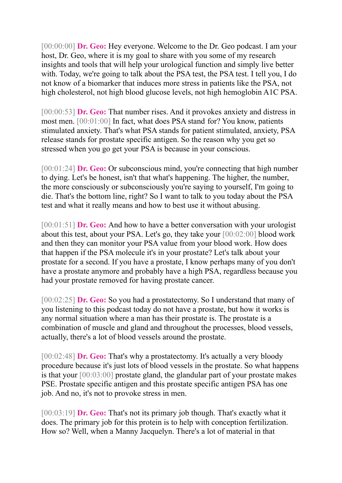[00:00:00] **Dr. Geo:** Hey everyone. Welcome to the Dr. Geo podcast. I am your host, Dr. Geo, where it is my goal to share with you some of my research insights and tools that will help your urological function and simply live better with. Today, we're going to talk about the PSA test, the PSA test. I tell you, I do not know of a biomarker that induces more stress in patients like the PSA, not high cholesterol, not high blood glucose levels, not high hemoglobin A1C PSA.

[00:00:53] **Dr. Geo:** That number rises. And it provokes anxiety and distress in most men. [00:01:00] In fact, what does PSA stand for? You know, patients stimulated anxiety. That's what PSA stands for patient stimulated, anxiety, PSA release stands for prostate specific antigen. So the reason why you get so stressed when you go get your PSA is because in your conscious.

[00:01:24] **Dr. Geo:** Or subconscious mind, you're connecting that high number to dying. Let's be honest, isn't that what's happening. The higher, the number, the more consciously or subconsciously you're saying to yourself, I'm going to die. That's the bottom line, right? So I want to talk to you today about the PSA test and what it really means and how to best use it without abusing.

[00:01:51] **Dr. Geo:** And how to have a better conversation with your urologist about this test, about your PSA. Let's go, they take your [00:02:00] blood work and then they can monitor your PSA value from your blood work. How does that happen if the PSA molecule it's in your prostate? Let's talk about your prostate for a second. If you have a prostate, I know perhaps many of you don't have a prostate anymore and probably have a high PSA, regardless because you had your prostate removed for having prostate cancer.

[00:02:25] **Dr. Geo:** So you had a prostatectomy. So I understand that many of you listening to this podcast today do not have a prostate, but how it works is any normal situation where a man has their prostate is. The prostate is a combination of muscle and gland and throughout the processes, blood vessels, actually, there's a lot of blood vessels around the prostate.

[00:02:48] **Dr. Geo:** That's why a prostatectomy. It's actually a very bloody procedure because it's just lots of blood vessels in the prostate. So what happens is that your [00:03:00] prostate gland, the glandular part of your prostate makes PSE. Prostate specific antigen and this prostate specific antigen PSA has one job. And no, it's not to provoke stress in men.

[00:03:19] **Dr. Geo:** That's not its primary job though. That's exactly what it does. The primary job for this protein is to help with conception fertilization. How so? Well, when a Manny Jacquelyn. There's a lot of material in that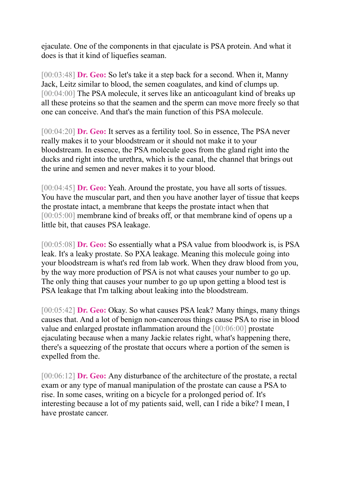ejaculate. One of the components in that ejaculate is PSA protein. And what it does is that it kind of liquefies seaman.

[00:03:48] **Dr. Geo:** So let's take it a step back for a second. When it, Manny Jack, Leitz similar to blood, the semen coagulates, and kind of clumps up. [00:04:00] The PSA molecule, it serves like an anticoagulant kind of breaks up all these proteins so that the seamen and the sperm can move more freely so that one can conceive. And that's the main function of this PSA molecule.

[00:04:20] **Dr. Geo:** It serves as a fertility tool. So in essence, The PSA never really makes it to your bloodstream or it should not make it to your bloodstream. In essence, the PSA molecule goes from the gland right into the ducks and right into the urethra, which is the canal, the channel that brings out the urine and semen and never makes it to your blood.

[00:04:45] **Dr. Geo:** Yeah. Around the prostate, you have all sorts of tissues. You have the muscular part, and then you have another layer of tissue that keeps the prostate intact, a membrane that keeps the prostate intact when that [00:05:00] membrane kind of breaks off, or that membrane kind of opens up a little bit, that causes PSA leakage.

[00:05:08] **Dr. Geo:** So essentially what a PSA value from bloodwork is, is PSA leak. It's a leaky prostate. So PXA leakage. Meaning this molecule going into your bloodstream is what's red from lab work. When they draw blood from you, by the way more production of PSA is not what causes your number to go up. The only thing that causes your number to go up upon getting a blood test is PSA leakage that I'm talking about leaking into the bloodstream.

[00:05:42] **Dr. Geo:** Okay. So what causes PSA leak? Many things, many things causes that. And a lot of benign non-cancerous things cause PSA to rise in blood value and enlarged prostate inflammation around the [00:06:00] prostate ejaculating because when a many Jackie relates right, what's happening there, there's a squeezing of the prostate that occurs where a portion of the semen is expelled from the.

[00:06:12] **Dr. Geo:** Any disturbance of the architecture of the prostate, a rectal exam or any type of manual manipulation of the prostate can cause a PSA to rise. In some cases, writing on a bicycle for a prolonged period of. It's interesting because a lot of my patients said, well, can I ride a bike? I mean, I have prostate cancer.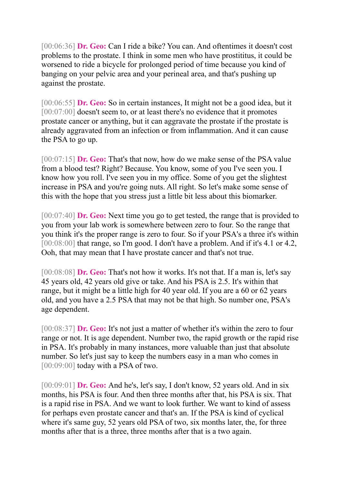[00:06:36] **Dr. Geo:** Can I ride a bike? You can. And oftentimes it doesn't cost problems to the prostate. I think in some men who have prostititus, it could be worsened to ride a bicycle for prolonged period of time because you kind of banging on your pelvic area and your perineal area, and that's pushing up against the prostate.

[00:06:55] **Dr. Geo:** So in certain instances, It might not be a good idea, but it [00:07:00] doesn't seem to, or at least there's no evidence that it promotes prostate cancer or anything, but it can aggravate the prostate if the prostate is already aggravated from an infection or from inflammation. And it can cause the PSA to go up.

[00:07:15] **Dr. Geo:** That's that now, how do we make sense of the PSA value from a blood test? Right? Because. You know, some of you I've seen you. I know how you roll. I've seen you in my office. Some of you get the slightest increase in PSA and you're going nuts. All right. So let's make some sense of this with the hope that you stress just a little bit less about this biomarker.

[00:07:40] **Dr. Geo:** Next time you go to get tested, the range that is provided to you from your lab work is somewhere between zero to four. So the range that you think it's the proper range is zero to four. So if your PSA's a three it's within [00:08:00] that range, so I'm good. I don't have a problem. And if it's 4.1 or 4.2, Ooh, that may mean that I have prostate cancer and that's not true.

[00:08:08] **Dr. Geo:** That's not how it works. It's not that. If a man is, let's say 45 years old, 42 years old give or take. And his PSA is 2.5. It's within that range, but it might be a little high for 40 year old. If you are a 60 or 62 years old, and you have a 2.5 PSA that may not be that high. So number one, PSA's age dependent.

[00:08:37] **Dr. Geo:** It's not just a matter of whether it's within the zero to four range or not. It is age dependent. Number two, the rapid growth or the rapid rise in PSA. It's probably in many instances, more valuable than just that absolute number. So let's just say to keep the numbers easy in a man who comes in [00:09:00] today with a PSA of two.

[00:09:01] **Dr. Geo:** And he's, let's say, I don't know, 52 years old. And in six months, his PSA is four. And then three months after that, his PSA is six. That is a rapid rise in PSA. And we want to look further. We want to kind of assess for perhaps even prostate cancer and that's an. If the PSA is kind of cyclical where it's same guy, 52 years old PSA of two, six months later, the, for three months after that is a three, three months after that is a two again.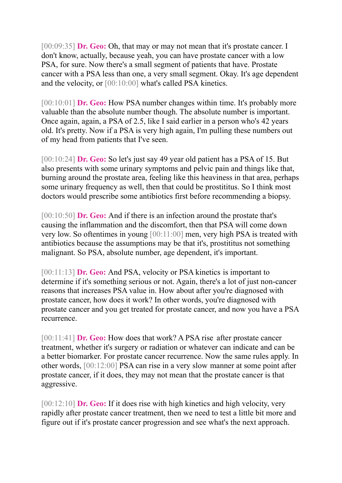[00:09:35] **Dr. Geo:** Oh, that may or may not mean that it's prostate cancer. I don't know, actually, because yeah, you can have prostate cancer with a low PSA, for sure. Now there's a small segment of patients that have. Prostate cancer with a PSA less than one, a very small segment. Okay. It's age dependent and the velocity, or [00:10:00] what's called PSA kinetics.

[00:10:01] **Dr. Geo:** How PSA number changes within time. It's probably more valuable than the absolute number though. The absolute number is important. Once again, again, a PSA of 2.5, like I said earlier in a person who's 42 years old. It's pretty. Now if a PSA is very high again, I'm pulling these numbers out of my head from patients that I've seen.

[00:10:24] **Dr. Geo:** So let's just say 49 year old patient has a PSA of 15. But also presents with some urinary symptoms and pelvic pain and things like that, burning around the prostate area, feeling like this heaviness in that area, perhaps some urinary frequency as well, then that could be prostititus. So I think most doctors would prescribe some antibiotics first before recommending a biopsy.

[00:10:50] **Dr. Geo:** And if there is an infection around the prostate that's causing the inflammation and the discomfort, then that PSA will come down very low. So oftentimes in young [00:11:00] men, very high PSA is treated with antibiotics because the assumptions may be that it's, prostititus not something malignant. So PSA, absolute number, age dependent, it's important.

[00:11:13] **Dr. Geo:** And PSA, velocity or PSA kinetics is important to determine if it's something serious or not. Again, there's a lot of just non-cancer reasons that increases PSA value in. How about after you're diagnosed with prostate cancer, how does it work? In other words, you're diagnosed with prostate cancer and you get treated for prostate cancer, and now you have a PSA recurrence.

[00:11:41] **Dr. Geo:** How does that work? A PSA rise after prostate cancer treatment, whether it's surgery or radiation or whatever can indicate and can be a better biomarker. For prostate cancer recurrence. Now the same rules apply. In other words, [00:12:00] PSA can rise in a very slow manner at some point after prostate cancer, if it does, they may not mean that the prostate cancer is that aggressive.

[00:12:10] **Dr. Geo:** If it does rise with high kinetics and high velocity, very rapidly after prostate cancer treatment, then we need to test a little bit more and figure out if it's prostate cancer progression and see what's the next approach.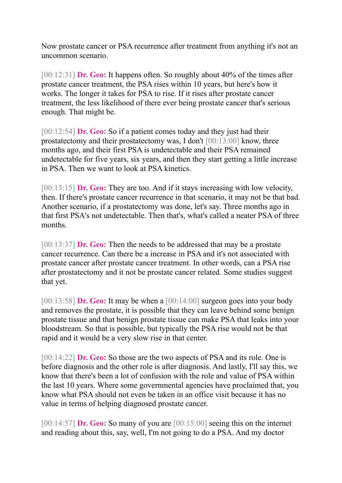Now prostate cancer or PSA recurrence after treatment from anything it's not an uncommon scenario.

[00:12:31] **Dr. Geo:** It happens often. So roughly about 40% of the times after prostate cancer treatment, the PSA rises within 10 years, but here's how it works. The longer it takes for PSA to rise. If it rises after prostate cancer treatment, the less likelihood of there ever being prostate cancer that's serious enough. That might be.

[00:12:54] **Dr. Geo:** So if a patient comes today and they just had their prostatectomy and their prostatectomy was, I don't [00:13:00] know, three months ago, and their first PSA is undetectable and their PSA remained undetectable for five years, six years, and then they start getting a little increase in PSA. Then we want to look at PSA kinetics.

[00:13:15] **Dr. Geo:** They are too. And if it stays increasing with low velocity, then. If there's prostate cancer recurrence in that scenario, it may not be that bad. Another scenario, if a prostatectomy was done, let's say. Three months ago in that first PSA's not undetectable. Then that's, what's called a neater PSA of three months.

[00:13:37] **Dr. Geo:** Then the needs to be addressed that may be a prostate cancer recurrence. Can there be a increase in PSA and it's not associated with prostate cancer after prostate cancer treatment. In other words, can a PSA rise after prostatectomy and it not be prostate cancer related. Some studies suggest that yet.

[00:13:58] **Dr. Geo:** It may be when a [00:14:00] surgeon goes into your body and removes the prostate, it is possible that they can leave behind some benign prostate tissue and that benign prostate tissue can make PSA that leaks into your bloodstream. So that is possible, but typically the PSA rise would not be that rapid and it would be a very slow rise in that center.

[00:14:22] **Dr. Geo:** So those are the two aspects of PSA and its role. One is before diagnosis and the other role is after diagnosis. And lastly, I'll say this, we know that there's been a lot of confusion with the role and value of PSA within the last 10 years. Where some governmental agencies have proclaimed that, you know what PSA should not even be taken in an office visit because it has no value in terms of helping diagnosed prostate cancer.

[00:14:57] **Dr. Geo:** So many of you are [00:15:00] seeing this on the internet and reading about this, say, well, I'm not going to do a PSA. And my doctor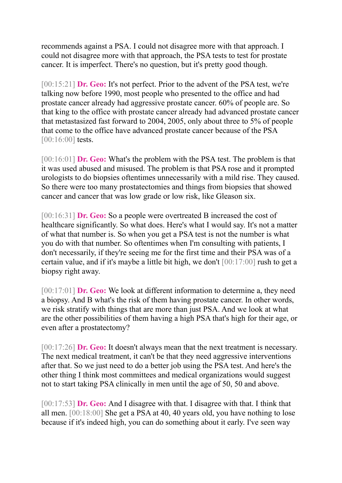recommends against a PSA. I could not disagree more with that approach. I could not disagree more with that approach, the PSA tests to test for prostate cancer. It is imperfect. There's no question, but it's pretty good though.

[00:15:21] **Dr. Geo:** It's not perfect. Prior to the advent of the PSA test, we're talking now before 1990, most people who presented to the office and had prostate cancer already had aggressive prostate cancer. 60% of people are. So that king to the office with prostate cancer already had advanced prostate cancer that metastasized fast forward to 2004, 2005, only about three to 5% of people that come to the office have advanced prostate cancer because of the PSA [00:16:00] tests.

[00:16:01] **Dr. Geo:** What's the problem with the PSA test. The problem is that it was used abused and misused. The problem is that PSA rose and it prompted urologists to do biopsies oftentimes unnecessarily with a mild rise. They caused. So there were too many prostatectomies and things from biopsies that showed cancer and cancer that was low grade or low risk, like Gleason six.

[00:16:31] **Dr. Geo:** So a people were overtreated B increased the cost of healthcare significantly. So what does. Here's what I would say. It's not a matter of what that number is. So when you get a PSA test is not the number is what you do with that number. So oftentimes when I'm consulting with patients, I don't necessarily, if they're seeing me for the first time and their PSA was of a certain value, and if it's maybe a little bit high, we don't [00:17:00] rush to get a biopsy right away.

[00:17:01] **Dr. Geo:** We look at different information to determine a, they need a biopsy. And B what's the risk of them having prostate cancer. In other words, we risk stratify with things that are more than just PSA. And we look at what are the other possibilities of them having a high PSA that's high for their age, or even after a prostatectomy?

[00:17:26] **Dr. Geo:** It doesn't always mean that the next treatment is necessary. The next medical treatment, it can't be that they need aggressive interventions after that. So we just need to do a better job using the PSA test. And here's the other thing I think most committees and medical organizations would suggest not to start taking PSA clinically in men until the age of 50, 50 and above.

[00:17:53] **Dr. Geo:** And I disagree with that. I disagree with that. I think that all men. [00:18:00] She get a PSA at 40, 40 years old, you have nothing to lose because if it's indeed high, you can do something about it early. I've seen way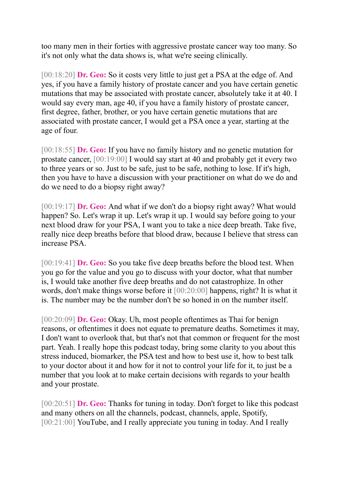too many men in their forties with aggressive prostate cancer way too many. So it's not only what the data shows is, what we're seeing clinically.

[00:18:20] **Dr. Geo:** So it costs very little to just get a PSA at the edge of. And yes, if you have a family history of prostate cancer and you have certain genetic mutations that may be associated with prostate cancer, absolutely take it at 40. I would say every man, age 40, if you have a family history of prostate cancer, first degree, father, brother, or you have certain genetic mutations that are associated with prostate cancer, I would get a PSA once a year, starting at the age of four.

[00:18:55] **Dr. Geo:** If you have no family history and no genetic mutation for prostate cancer, [00:19:00] I would say start at 40 and probably get it every two to three years or so. Just to be safe, just to be safe, nothing to lose. If it's high, then you have to have a discussion with your practitioner on what do we do and do we need to do a biopsy right away?

[00:19:17] **Dr. Geo:** And what if we don't do a biopsy right away? What would happen? So. Let's wrap it up. Let's wrap it up. I would say before going to your next blood draw for your PSA, I want you to take a nice deep breath. Take five, really nice deep breaths before that blood draw, because I believe that stress can increase PSA.

[00:19:41] **Dr. Geo:** So you take five deep breaths before the blood test. When you go for the value and you go to discuss with your doctor, what that number is, I would take another five deep breaths and do not catastrophize. In other words, don't make things worse before it [00:20:00] happens, right? It is what it is. The number may be the number don't be so honed in on the number itself.

[00:20:09] **Dr. Geo:** Okay. Uh, most people oftentimes as Thai for benign reasons, or oftentimes it does not equate to premature deaths. Sometimes it may, I don't want to overlook that, but that's not that common or frequent for the most part. Yeah. I really hope this podcast today, bring some clarity to you about this stress induced, biomarker, the PSA test and how to best use it, how to best talk to your doctor about it and how for it not to control your life for it, to just be a number that you look at to make certain decisions with regards to your health and your prostate.

[00:20:51] **Dr. Geo:** Thanks for tuning in today. Don't forget to like this podcast and many others on all the channels, podcast, channels, apple, Spotify, [00:21:00] YouTube, and I really appreciate you tuning in today. And I really